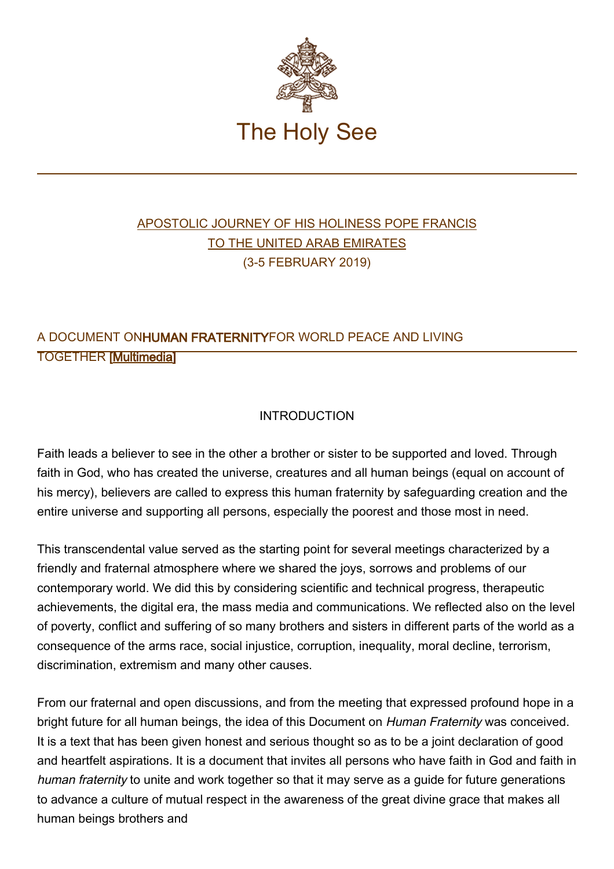

## [APOSTOLIC JOURNEY OF HIS HOLINESS POPE FRANCIS](http://w2.vatican.va/content/francesco/en/travels/2019/outside/documents/papa-francesco-emiratiarabiuniti-2019.html) [TO THE UNITED ARAB EMIRATES](http://w2.vatican.va/content/francesco/en/travels/2019/outside/documents/papa-francesco-emiratiarabiuniti-2019.html) (3-5 FEBRUARY 2019)

## A DOCUMENT ONHUMAN FRATERNITYFOR WORLD PEACE AND LIVING TOGETHER [\[Multimedia](http://w2.vatican.va/content/francesco/en/events/event.dir.html/content/vaticanevents/en/2019/2/4/fratellanza-umana.html)]

## INTRODUCTION

Faith leads a believer to see in the other a brother or sister to be supported and loved. Through faith in God, who has created the universe, creatures and all human beings (equal on account of his mercy), believers are called to express this human fraternity by safeguarding creation and the entire universe and supporting all persons, especially the poorest and those most in need.

This transcendental value served as the starting point for several meetings characterized by a friendly and fraternal atmosphere where we shared the joys, sorrows and problems of our contemporary world. We did this by considering scientific and technical progress, therapeutic achievements, the digital era, the mass media and communications. We reflected also on the level of poverty, conflict and suffering of so many brothers and sisters in different parts of the world as a consequence of the arms race, social injustice, corruption, inequality, moral decline, terrorism, discrimination, extremism and many other causes.

From our fraternal and open discussions, and from the meeting that expressed profound hope in a bright future for all human beings, the idea of this Document on Human Fraternity was conceived. It is a text that has been given honest and serious thought so as to be a joint declaration of good and heartfelt aspirations. It is a document that invites all persons who have faith in God and faith in human fraternity to unite and work together so that it may serve as a guide for future generations to advance a culture of mutual respect in the awareness of the great divine grace that makes all human beings brothers and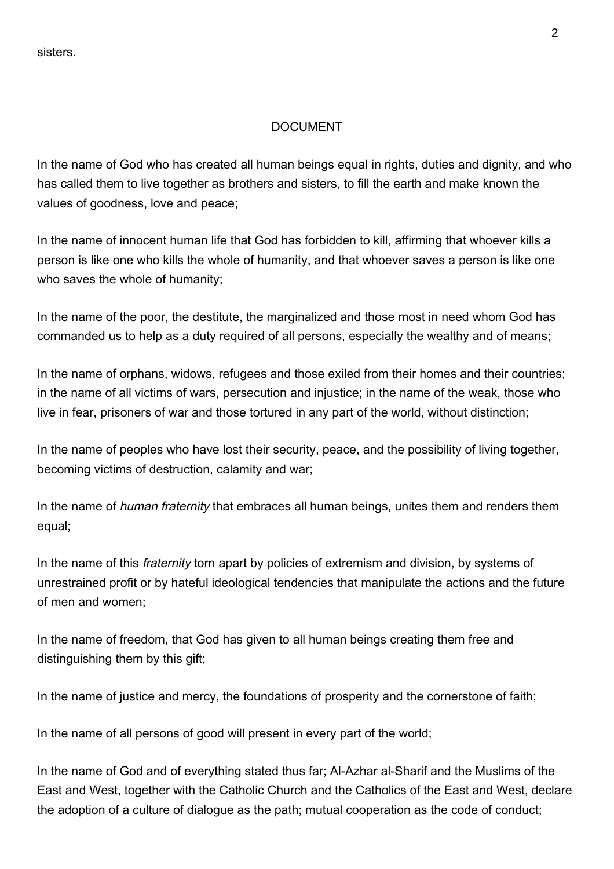## DOCUMENT

In the name of God who has created all human beings equal in rights, duties and dignity, and who has called them to live together as brothers and sisters, to fill the earth and make known the values of goodness, love and peace;

In the name of innocent human life that God has forbidden to kill, affirming that whoever kills a person is like one who kills the whole of humanity, and that whoever saves a person is like one who saves the whole of humanity;

In the name of the poor, the destitute, the marginalized and those most in need whom God has commanded us to help as a duty required of all persons, especially the wealthy and of means;

In the name of orphans, widows, refugees and those exiled from their homes and their countries; in the name of all victims of wars, persecution and injustice; in the name of the weak, those who live in fear, prisoners of war and those tortured in any part of the world, without distinction;

In the name of peoples who have lost their security, peace, and the possibility of living together, becoming victims of destruction, calamity and war;

In the name of human fraternity that embraces all human beings, unites them and renders them equal;

In the name of this *fraternity* torn apart by policies of extremism and division, by systems of unrestrained profit or by hateful ideological tendencies that manipulate the actions and the future of men and women;

In the name of freedom, that God has given to all human beings creating them free and distinguishing them by this gift;

In the name of justice and mercy, the foundations of prosperity and the cornerstone of faith;

In the name of all persons of good will present in every part of the world;

In the name of God and of everything stated thus far; Al-Azhar al-Sharif and the Muslims of the East and West, together with the Catholic Church and the Catholics of the East and West, declare the adoption of a culture of dialogue as the path; mutual cooperation as the code of conduct;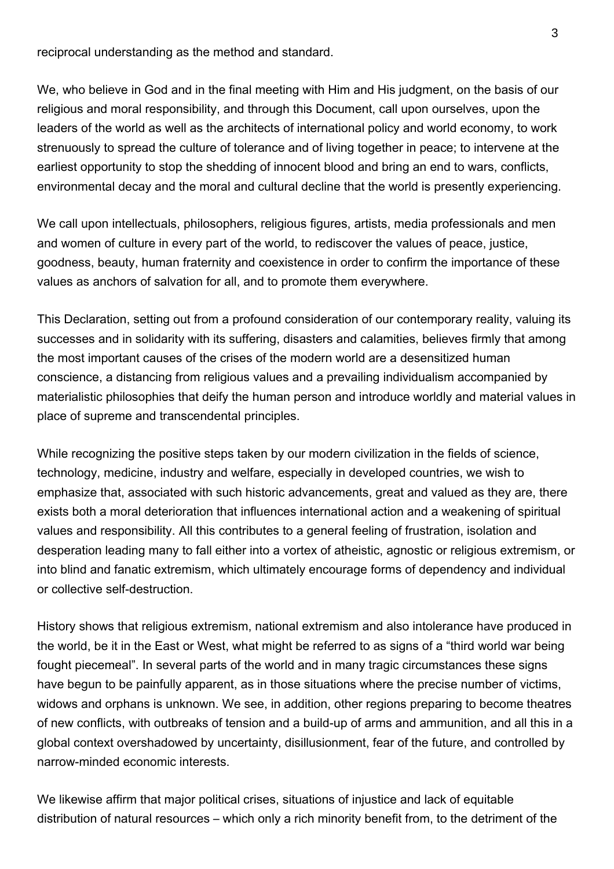reciprocal understanding as the method and standard.

We, who believe in God and in the final meeting with Him and His judgment, on the basis of our religious and moral responsibility, and through this Document, call upon ourselves, upon the leaders of the world as well as the architects of international policy and world economy, to work strenuously to spread the culture of tolerance and of living together in peace; to intervene at the earliest opportunity to stop the shedding of innocent blood and bring an end to wars, conflicts, environmental decay and the moral and cultural decline that the world is presently experiencing.

We call upon intellectuals, philosophers, religious figures, artists, media professionals and men and women of culture in every part of the world, to rediscover the values of peace, justice, goodness, beauty, human fraternity and coexistence in order to confirm the importance of these values as anchors of salvation for all, and to promote them everywhere.

This Declaration, setting out from a profound consideration of our contemporary reality, valuing its successes and in solidarity with its suffering, disasters and calamities, believes firmly that among the most important causes of the crises of the modern world are a desensitized human conscience, a distancing from religious values and a prevailing individualism accompanied by materialistic philosophies that deify the human person and introduce worldly and material values in place of supreme and transcendental principles.

While recognizing the positive steps taken by our modern civilization in the fields of science, technology, medicine, industry and welfare, especially in developed countries, we wish to emphasize that, associated with such historic advancements, great and valued as they are, there exists both a moral deterioration that influences international action and a weakening of spiritual values and responsibility. All this contributes to a general feeling of frustration, isolation and desperation leading many to fall either into a vortex of atheistic, agnostic or religious extremism, or into blind and fanatic extremism, which ultimately encourage forms of dependency and individual or collective self-destruction.

History shows that religious extremism, national extremism and also intolerance have produced in the world, be it in the East or West, what might be referred to as signs of a "third world war being fought piecemeal". In several parts of the world and in many tragic circumstances these signs have begun to be painfully apparent, as in those situations where the precise number of victims, widows and orphans is unknown. We see, in addition, other regions preparing to become theatres of new conflicts, with outbreaks of tension and a build-up of arms and ammunition, and all this in a global context overshadowed by uncertainty, disillusionment, fear of the future, and controlled by narrow-minded economic interests.

We likewise affirm that major political crises, situations of injustice and lack of equitable distribution of natural resources – which only a rich minority benefit from, to the detriment of the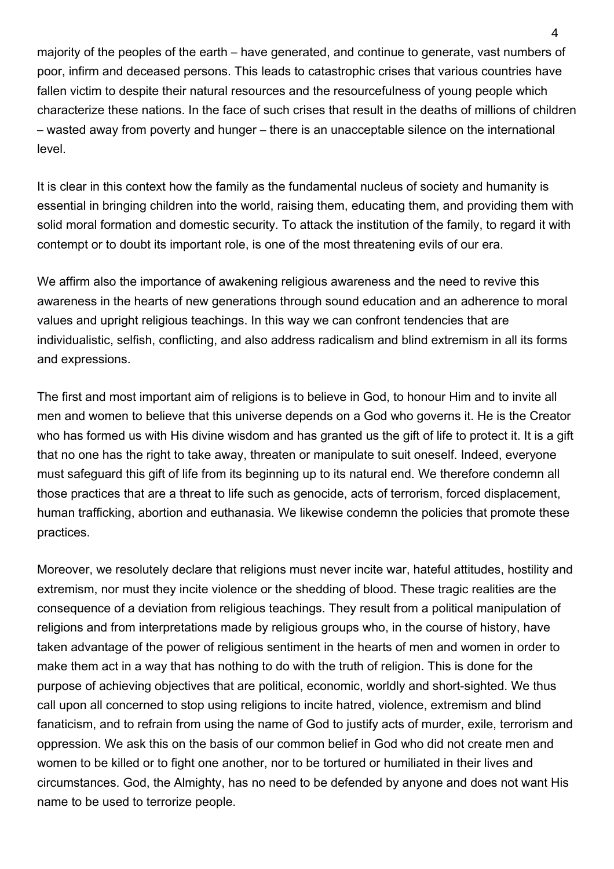majority of the peoples of the earth – have generated, and continue to generate, vast numbers of poor, infirm and deceased persons. This leads to catastrophic crises that various countries have fallen victim to despite their natural resources and the resourcefulness of young people which characterize these nations. In the face of such crises that result in the deaths of millions of children – wasted away from poverty and hunger – there is an unacceptable silence on the international level.

It is clear in this context how the family as the fundamental nucleus of society and humanity is essential in bringing children into the world, raising them, educating them, and providing them with solid moral formation and domestic security. To attack the institution of the family, to regard it with contempt or to doubt its important role, is one of the most threatening evils of our era.

We affirm also the importance of awakening religious awareness and the need to revive this awareness in the hearts of new generations through sound education and an adherence to moral values and upright religious teachings. In this way we can confront tendencies that are individualistic, selfish, conflicting, and also address radicalism and blind extremism in all its forms and expressions.

The first and most important aim of religions is to believe in God, to honour Him and to invite all men and women to believe that this universe depends on a God who governs it. He is the Creator who has formed us with His divine wisdom and has granted us the gift of life to protect it. It is a gift that no one has the right to take away, threaten or manipulate to suit oneself. Indeed, everyone must safeguard this gift of life from its beginning up to its natural end. We therefore condemn all those practices that are a threat to life such as genocide, acts of terrorism, forced displacement, human trafficking, abortion and euthanasia. We likewise condemn the policies that promote these practices.

Moreover, we resolutely declare that religions must never incite war, hateful attitudes, hostility and extremism, nor must they incite violence or the shedding of blood. These tragic realities are the consequence of a deviation from religious teachings. They result from a political manipulation of religions and from interpretations made by religious groups who, in the course of history, have taken advantage of the power of religious sentiment in the hearts of men and women in order to make them act in a way that has nothing to do with the truth of religion. This is done for the purpose of achieving objectives that are political, economic, worldly and short-sighted. We thus call upon all concerned to stop using religions to incite hatred, violence, extremism and blind fanaticism, and to refrain from using the name of God to justify acts of murder, exile, terrorism and oppression. We ask this on the basis of our common belief in God who did not create men and women to be killed or to fight one another, nor to be tortured or humiliated in their lives and circumstances. God, the Almighty, has no need to be defended by anyone and does not want His name to be used to terrorize people.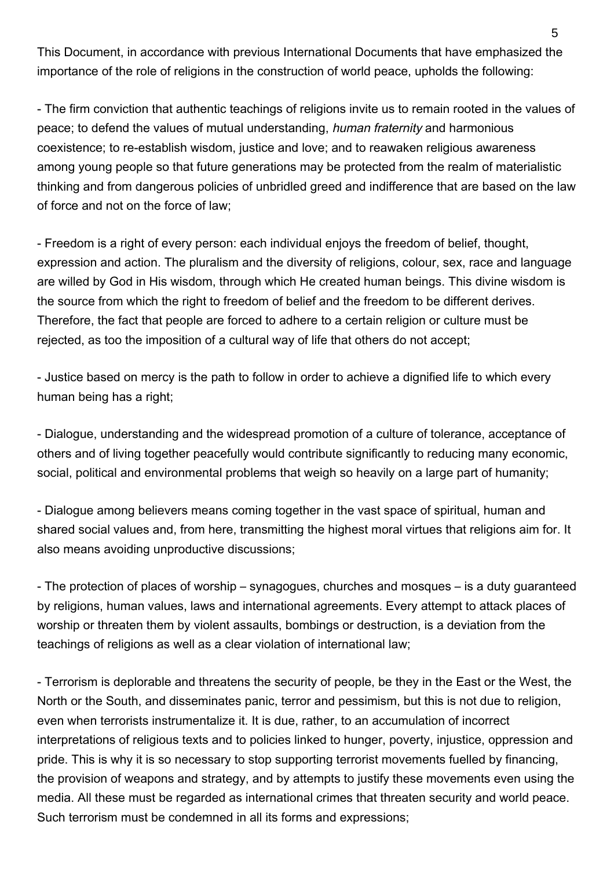This Document, in accordance with previous International Documents that have emphasized the importance of the role of religions in the construction of world peace, upholds the following:

- The firm conviction that authentic teachings of religions invite us to remain rooted in the values of peace; to defend the values of mutual understanding, human fraternity and harmonious coexistence; to re-establish wisdom, justice and love; and to reawaken religious awareness among young people so that future generations may be protected from the realm of materialistic thinking and from dangerous policies of unbridled greed and indifference that are based on the law of force and not on the force of law;

- Freedom is a right of every person: each individual enjoys the freedom of belief, thought, expression and action. The pluralism and the diversity of religions, colour, sex, race and language are willed by God in His wisdom, through which He created human beings. This divine wisdom is the source from which the right to freedom of belief and the freedom to be different derives. Therefore, the fact that people are forced to adhere to a certain religion or culture must be rejected, as too the imposition of a cultural way of life that others do not accept;

- Justice based on mercy is the path to follow in order to achieve a dignified life to which every human being has a right;

- Dialogue, understanding and the widespread promotion of a culture of tolerance, acceptance of others and of living together peacefully would contribute significantly to reducing many economic, social, political and environmental problems that weigh so heavily on a large part of humanity;

- Dialogue among believers means coming together in the vast space of spiritual, human and shared social values and, from here, transmitting the highest moral virtues that religions aim for. It also means avoiding unproductive discussions;

- The protection of places of worship – synagogues, churches and mosques – is a duty guaranteed by religions, human values, laws and international agreements. Every attempt to attack places of worship or threaten them by violent assaults, bombings or destruction, is a deviation from the teachings of religions as well as a clear violation of international law;

- Terrorism is deplorable and threatens the security of people, be they in the East or the West, the North or the South, and disseminates panic, terror and pessimism, but this is not due to religion, even when terrorists instrumentalize it. It is due, rather, to an accumulation of incorrect interpretations of religious texts and to policies linked to hunger, poverty, injustice, oppression and pride. This is why it is so necessary to stop supporting terrorist movements fuelled by financing, the provision of weapons and strategy, and by attempts to justify these movements even using the media. All these must be regarded as international crimes that threaten security and world peace. Such terrorism must be condemned in all its forms and expressions;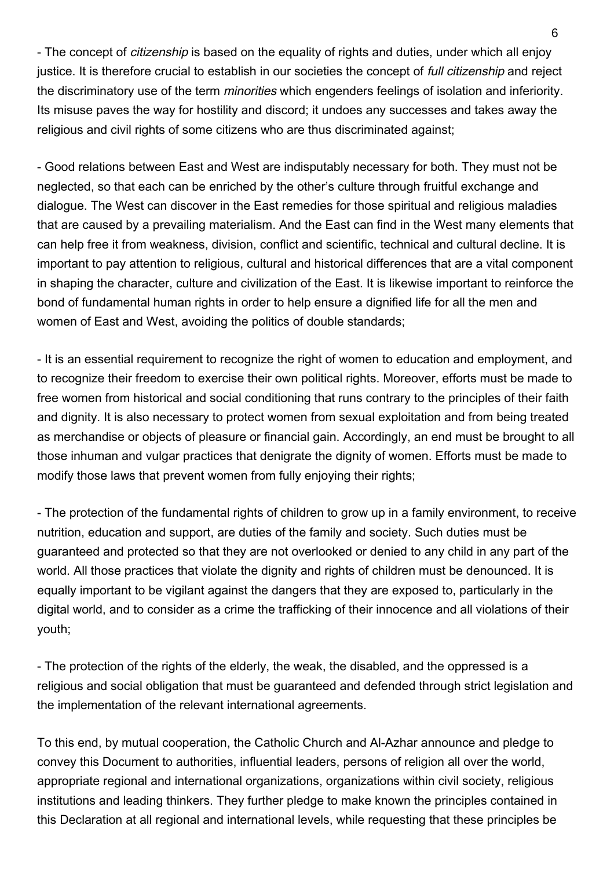- The concept of *citizenship* is based on the equality of rights and duties, under which all enjoy justice. It is therefore crucial to establish in our societies the concept of full citizenship and reject the discriminatory use of the term minorities which engenders feelings of isolation and inferiority. Its misuse paves the way for hostility and discord; it undoes any successes and takes away the religious and civil rights of some citizens who are thus discriminated against;

- Good relations between East and West are indisputably necessary for both. They must not be neglected, so that each can be enriched by the other's culture through fruitful exchange and dialogue. The West can discover in the East remedies for those spiritual and religious maladies that are caused by a prevailing materialism. And the East can find in the West many elements that can help free it from weakness, division, conflict and scientific, technical and cultural decline. It is important to pay attention to religious, cultural and historical differences that are a vital component in shaping the character, culture and civilization of the East. It is likewise important to reinforce the bond of fundamental human rights in order to help ensure a dignified life for all the men and women of East and West, avoiding the politics of double standards;

- It is an essential requirement to recognize the right of women to education and employment, and to recognize their freedom to exercise their own political rights. Moreover, efforts must be made to free women from historical and social conditioning that runs contrary to the principles of their faith and dignity. It is also necessary to protect women from sexual exploitation and from being treated as merchandise or objects of pleasure or financial gain. Accordingly, an end must be brought to all those inhuman and vulgar practices that denigrate the dignity of women. Efforts must be made to modify those laws that prevent women from fully enjoying their rights;

- The protection of the fundamental rights of children to grow up in a family environment, to receive nutrition, education and support, are duties of the family and society. Such duties must be guaranteed and protected so that they are not overlooked or denied to any child in any part of the world. All those practices that violate the dignity and rights of children must be denounced. It is equally important to be vigilant against the dangers that they are exposed to, particularly in the digital world, and to consider as a crime the trafficking of their innocence and all violations of their youth;

- The protection of the rights of the elderly, the weak, the disabled, and the oppressed is a religious and social obligation that must be guaranteed and defended through strict legislation and the implementation of the relevant international agreements.

To this end, by mutual cooperation, the Catholic Church and Al-Azhar announce and pledge to convey this Document to authorities, influential leaders, persons of religion all over the world, appropriate regional and international organizations, organizations within civil society, religious institutions and leading thinkers. They further pledge to make known the principles contained in this Declaration at all regional and international levels, while requesting that these principles be